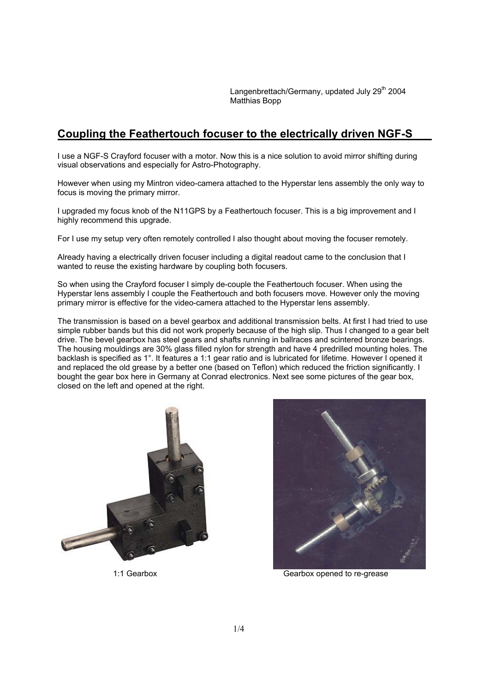Langenbrettach/Germany, updated July 29<sup>th</sup> 2004 Matthias Bopp

## **Coupling the Feathertouch focuser to the electrically driven NGF-S**

I use a NGF-S Crayford focuser with a motor. Now this is a nice solution to avoid mirror shifting during visual observations and especially for Astro-Photography.

However when using my Mintron video-camera attached to the Hyperstar lens assembly the only way to focus is moving the primary mirror.

I upgraded my focus knob of the N11GPS by a Feathertouch focuser. This is a big improvement and I highly recommend this upgrade.

For I use my setup very often remotely controlled I also thought about moving the focuser remotely.

Already having a electrically driven focuser including a digital readout came to the conclusion that I wanted to reuse the existing hardware by coupling both focusers.

So when using the Crayford focuser I simply de-couple the Feathertouch focuser. When using the Hyperstar lens assembly I couple the Feathertouch and both focusers move. However only the moving primary mirror is effective for the video-camera attached to the Hyperstar lens assembly.

The transmission is based on a bevel gearbox and additional transmission belts. At first I had tried to use simple rubber bands but this did not work properly because of the high slip. Thus I changed to a gear belt drive. The bevel gearbox has steel gears and shafts running in ballraces and scintered bronze bearings. The housing mouldings are 30% glass filled nylon for strength and have 4 predrilled mounting holes. The backlash is specified as 1°. It features a 1:1 gear ratio and is lubricated for lifetime. However I opened it and replaced the old grease by a better one (based on Teflon) which reduced the friction significantly. I bought the gear box here in Germany at Conrad electronics. Next see some pictures of the gear box, closed on the left and opened at the right.





1:1 Gearbox Gearbox opened to re-grease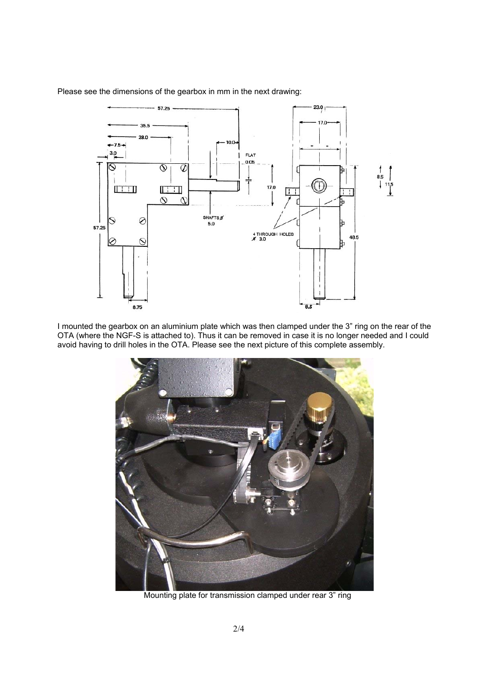

Please see the dimensions of the gearbox in mm in the next drawing:

I mounted the gearbox on an aluminium plate which was then clamped under the 3" ring on the rear of the OTA (where the NGF-S is attached to). Thus it can be removed in case it is no longer needed and I could avoid having to drill holes in the OTA. Please see the next picture of this complete assembly.



Mounting plate for transmission clamped under rear 3" ring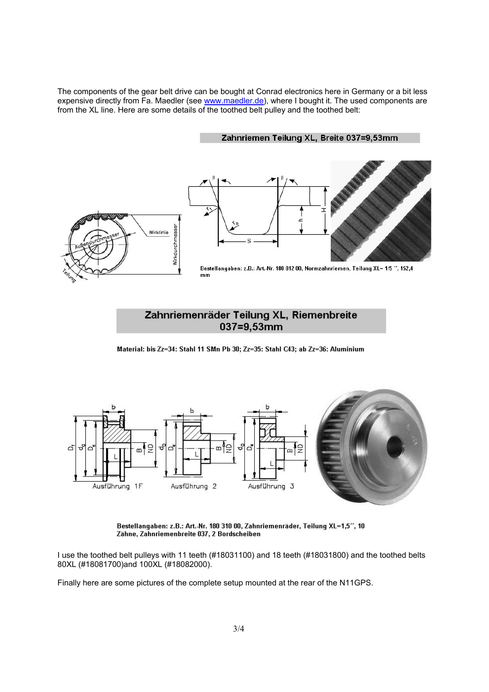The components of the gear belt drive can be bought at Conrad electronics here in Germany or a bit less expensive directly from Fa. Maedler (see www.maedler.de), where I bought it. The used components are from the XL line. Here are some details of the toothed belt pulley and the toothed belt:

Zahnriemen Teilung XL, Breite 037=9,53mm



## Zahnriemenräder Teilung XL, Riemenbreite 037=9,53mm

Material: bis Zz=34: Stahl 11 SMn Pb 30; Zz=35: Stahl C43; ab Zz=36: Aluminium



Bestellangaben: z.B.: Art.-Nr. 180 310 00, Zahnriemenräder, Teilung XL=1,5", 10 Zähne, Zahnriemenbreite 037, 2 Bordscheiben

I use the toothed belt pulleys with 11 teeth (#18031100) and 18 teeth (#18031800) and the toothed belts 80XL (#18081700)and 100XL (#18082000).

Finally here are some pictures of the complete setup mounted at the rear of the N11GPS.